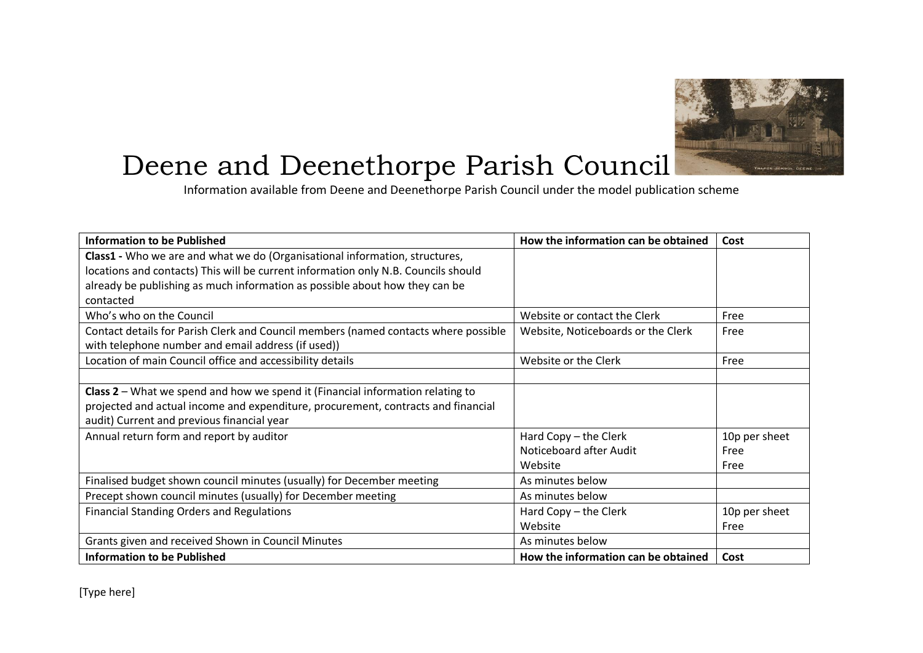

## Deene and Deenethorpe Parish Council

Information available from Deene and Deenethorpe Parish Council under the model publication scheme

| <b>Information to be Published</b>                                                  | How the information can be obtained | Cost          |
|-------------------------------------------------------------------------------------|-------------------------------------|---------------|
| Class1 - Who we are and what we do (Organisational information, structures,         |                                     |               |
| locations and contacts) This will be current information only N.B. Councils should  |                                     |               |
| already be publishing as much information as possible about how they can be         |                                     |               |
| contacted                                                                           |                                     |               |
| Who's who on the Council                                                            | Website or contact the Clerk        | Free          |
| Contact details for Parish Clerk and Council members (named contacts where possible | Website, Noticeboards or the Clerk  | Free          |
| with telephone number and email address (if used))                                  |                                     |               |
| Location of main Council office and accessibility details                           | Website or the Clerk                | Free          |
|                                                                                     |                                     |               |
| Class $2$ – What we spend and how we spend it (Financial information relating to    |                                     |               |
| projected and actual income and expenditure, procurement, contracts and financial   |                                     |               |
| audit) Current and previous financial year                                          |                                     |               |
| Annual return form and report by auditor                                            | Hard Copy - the Clerk               | 10p per sheet |
|                                                                                     | Noticeboard after Audit             | Free          |
|                                                                                     | Website                             | Free          |
| Finalised budget shown council minutes (usually) for December meeting               | As minutes below                    |               |
| Precept shown council minutes (usually) for December meeting                        | As minutes below                    |               |
| <b>Financial Standing Orders and Regulations</b>                                    | Hard Copy - the Clerk               | 10p per sheet |
|                                                                                     | Website                             | Free          |
| Grants given and received Shown in Council Minutes                                  | As minutes below                    |               |
| <b>Information to be Published</b>                                                  | How the information can be obtained | Cost          |

[Type here]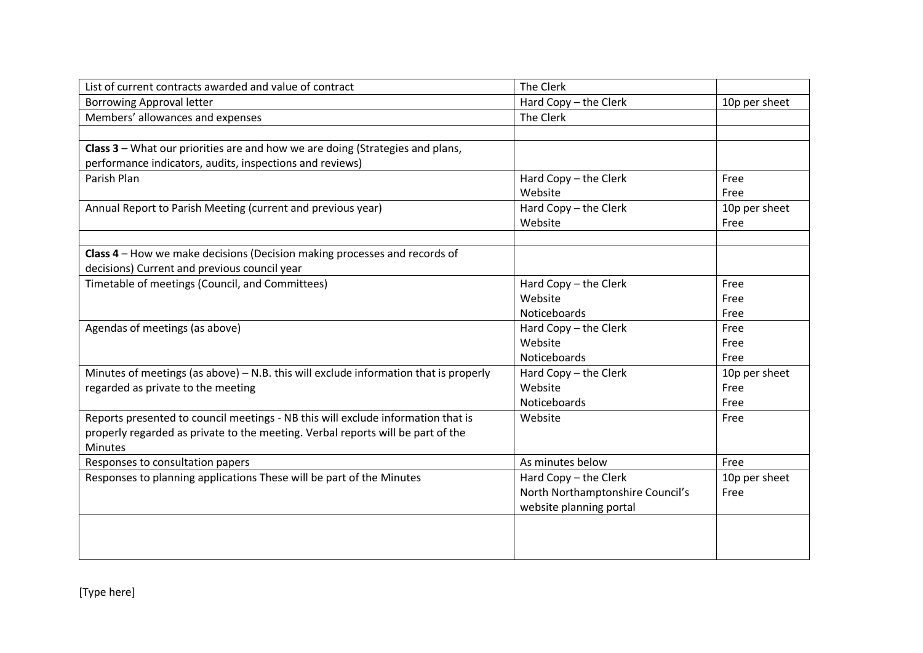| List of current contracts awarded and value of contract                                | The Clerk                        |               |
|----------------------------------------------------------------------------------------|----------------------------------|---------------|
| <b>Borrowing Approval letter</b>                                                       | Hard Copy - the Clerk            | 10p per sheet |
| Members' allowances and expenses                                                       | The Clerk                        |               |
|                                                                                        |                                  |               |
| Class 3 - What our priorities are and how we are doing (Strategies and plans,          |                                  |               |
| performance indicators, audits, inspections and reviews)                               |                                  |               |
| Parish Plan                                                                            | Hard Copy - the Clerk            | Free          |
|                                                                                        | Website                          | Free          |
| Annual Report to Parish Meeting (current and previous year)                            | Hard Copy - the Clerk            | 10p per sheet |
|                                                                                        | Website                          | Free          |
|                                                                                        |                                  |               |
| Class 4 - How we make decisions (Decision making processes and records of              |                                  |               |
| decisions) Current and previous council year                                           |                                  |               |
| Timetable of meetings (Council, and Committees)                                        | Hard Copy - the Clerk            | Free          |
|                                                                                        | Website                          | Free          |
|                                                                                        | Noticeboards                     | Free          |
| Agendas of meetings (as above)                                                         | Hard Copy - the Clerk            | Free          |
|                                                                                        | Website                          | Free          |
|                                                                                        | Noticeboards                     | Free          |
| Minutes of meetings (as above) $-$ N.B. this will exclude information that is properly | Hard Copy - the Clerk            | 10p per sheet |
| regarded as private to the meeting                                                     | Website                          | Free          |
|                                                                                        | Noticeboards                     | Free          |
| Reports presented to council meetings - NB this will exclude information that is       | Website                          | Free          |
| properly regarded as private to the meeting. Verbal reports will be part of the        |                                  |               |
| <b>Minutes</b>                                                                         |                                  |               |
| Responses to consultation papers                                                       | As minutes below                 | Free          |
| Responses to planning applications These will be part of the Minutes                   | Hard Copy - the Clerk            | 10p per sheet |
|                                                                                        | North Northamptonshire Council's | Free          |
|                                                                                        | website planning portal          |               |
|                                                                                        |                                  |               |
|                                                                                        |                                  |               |
|                                                                                        |                                  |               |

[Type here]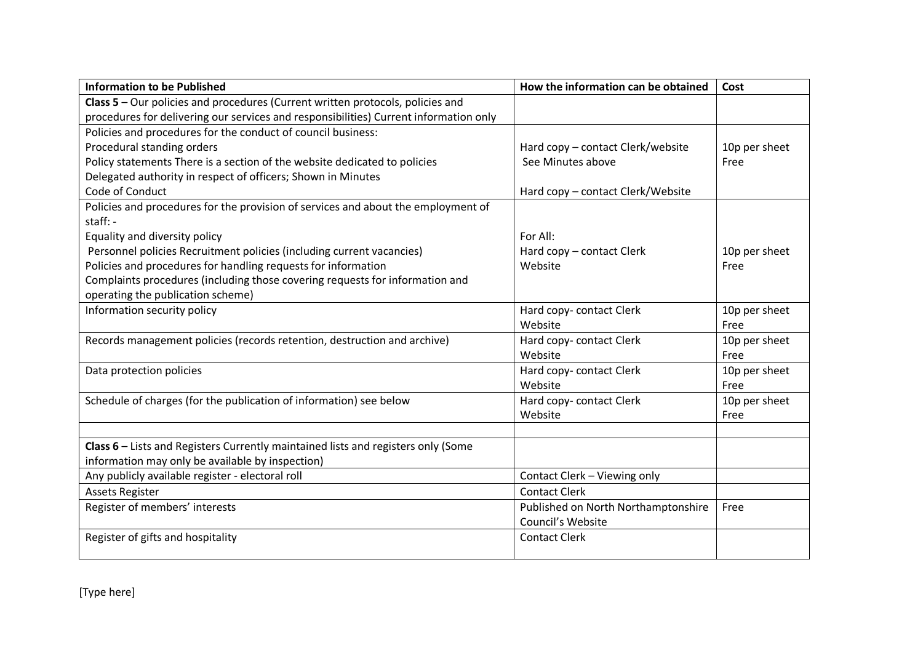| <b>Information to be Published</b>                                                    | How the information can be obtained | Cost          |
|---------------------------------------------------------------------------------------|-------------------------------------|---------------|
| Class 5 - Our policies and procedures (Current written protocols, policies and        |                                     |               |
| procedures for delivering our services and responsibilities) Current information only |                                     |               |
| Policies and procedures for the conduct of council business:                          |                                     |               |
| Procedural standing orders                                                            | Hard copy - contact Clerk/website   | 10p per sheet |
| Policy statements There is a section of the website dedicated to policies             | See Minutes above                   | Free          |
| Delegated authority in respect of officers; Shown in Minutes                          |                                     |               |
| Code of Conduct                                                                       | Hard copy - contact Clerk/Website   |               |
| Policies and procedures for the provision of services and about the employment of     |                                     |               |
| staff: -                                                                              |                                     |               |
| Equality and diversity policy                                                         | For All:                            |               |
| Personnel policies Recruitment policies (including current vacancies)                 | Hard copy - contact Clerk           | 10p per sheet |
| Policies and procedures for handling requests for information                         | Website                             | Free          |
| Complaints procedures (including those covering requests for information and          |                                     |               |
| operating the publication scheme)                                                     |                                     |               |
| Information security policy                                                           | Hard copy- contact Clerk            | 10p per sheet |
|                                                                                       | Website                             | Free          |
| Records management policies (records retention, destruction and archive)              | Hard copy- contact Clerk            | 10p per sheet |
|                                                                                       | Website                             | Free          |
| Data protection policies                                                              | Hard copy- contact Clerk            | 10p per sheet |
|                                                                                       | Website                             | Free          |
| Schedule of charges (for the publication of information) see below                    | Hard copy- contact Clerk            | 10p per sheet |
|                                                                                       | Website                             | Free          |
|                                                                                       |                                     |               |
| Class 6 - Lists and Registers Currently maintained lists and registers only (Some     |                                     |               |
| information may only be available by inspection)                                      |                                     |               |
| Any publicly available register - electoral roll                                      | Contact Clerk - Viewing only        |               |
| <b>Assets Register</b>                                                                | <b>Contact Clerk</b>                |               |
| Register of members' interests                                                        | Published on North Northamptonshire | Free          |
|                                                                                       | Council's Website                   |               |
| Register of gifts and hospitality                                                     | <b>Contact Clerk</b>                |               |
|                                                                                       |                                     |               |

[Type here]